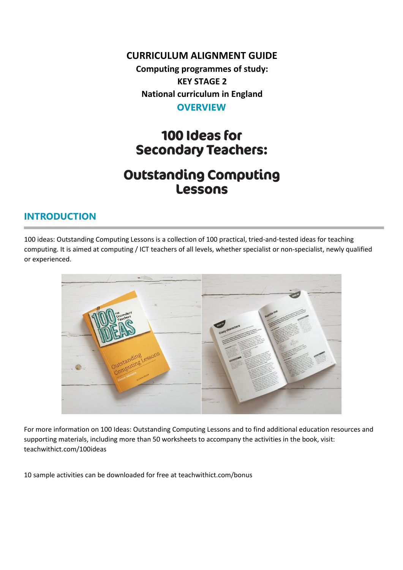#### **CURRICULUM ALIGNMENT GUIDE**

**Computing programmes of study: KEY STAGE 2 National curriculum in England OVERVIEW**

# 100 Ideas for **Secondary Teachers:**

# **Outstanding Computing** Lessons

#### **INTRODUCTION**

100 ideas: Outstanding Computing Lessons is a collection of 100 practical, tried-and-tested ideas for teaching computing. It is aimed at computing / ICT teachers of all levels, whether specialist or non-specialist, newly qualified or experienced.



For more information on 100 Ideas: Outstanding Computing Lessons and to find additional education resources and supporting materials, including more than 50 worksheets to accompany the activities in the book, visit: teachwithict.com/100ideas

10 sample activities can be downloaded for free at teachwithict.com/bonus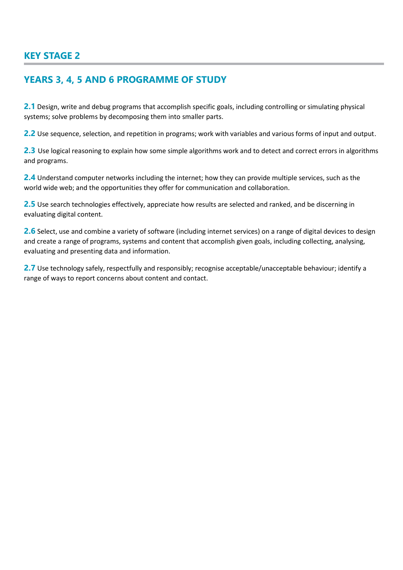#### **KEY STAGE 2**

#### **YEARS 3, 4, 5 AND 6 PROGRAMME OF STUDY**

**2.1** Design, write and debug programs that accomplish specific goals, including controlling or simulating physical systems; solve problems by decomposing them into smaller parts.

**2.2** Use sequence, selection, and repetition in programs; work with variables and various forms of input and output.

**2.3** Use logical reasoning to explain how some simple algorithms work and to detect and correct errors in algorithms and programs.

**2.4** Understand computer networks including the internet; how they can provide multiple services, such as the world wide web; and the opportunities they offer for communication and collaboration.

**2.5** Use search technologies effectively, appreciate how results are selected and ranked, and be discerning in evaluating digital content.

2.6 Select, use and combine a variety of software (including internet services) on a range of digital devices to design and create a range of programs, systems and content that accomplish given goals, including collecting, analysing, evaluating and presenting data and information.

**2.7** Use technology safely, respectfully and responsibly; recognise acceptable/unacceptable behaviour; identify a range of ways to report concerns about content and contact.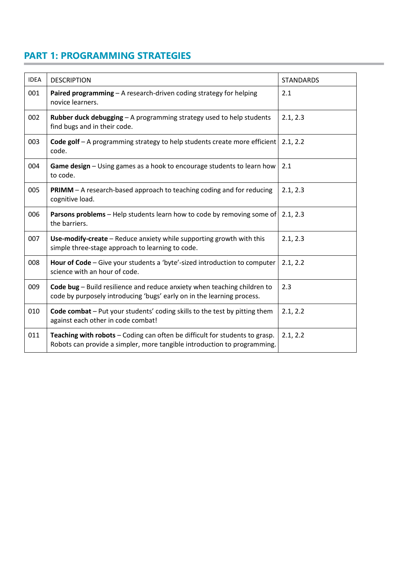#### **PART 1: PROGRAMMING STRATEGIES**

| <b>IDEA</b> | <b>DESCRIPTION</b>                                                                                                                                      | <b>STANDARDS</b> |
|-------------|---------------------------------------------------------------------------------------------------------------------------------------------------------|------------------|
| 001         | Paired programming - A research-driven coding strategy for helping<br>novice learners.                                                                  | 2.1              |
| 002         | Rubber duck debugging - A programming strategy used to help students<br>find bugs and in their code.                                                    | 2.1, 2.3         |
| 003         | Code golf - A programming strategy to help students create more efficient<br>code.                                                                      | 2.1, 2.2         |
| 004         | Game design - Using games as a hook to encourage students to learn how<br>to code.                                                                      | 2.1              |
| 005         | <b>PRIMM</b> – A research-based approach to teaching coding and for reducing<br>cognitive load.                                                         | 2.1, 2.3         |
| 006         | Parsons problems - Help students learn how to code by removing some of<br>the barriers.                                                                 | 2.1, 2.3         |
| 007         | Use-modify-create - Reduce anxiety while supporting growth with this<br>simple three-stage approach to learning to code.                                | 2.1, 2.3         |
| 008         | Hour of Code - Give your students a 'byte'-sized introduction to computer<br>science with an hour of code.                                              | 2.1, 2.2         |
| 009         | Code bug - Build resilience and reduce anxiety when teaching children to<br>code by purposely introducing 'bugs' early on in the learning process.      | 2.3              |
| 010         | Code combat - Put your students' coding skills to the test by pitting them<br>against each other in code combat!                                        | 2.1, 2.2         |
| 011         | Teaching with robots - Coding can often be difficult for students to grasp.<br>Robots can provide a simpler, more tangible introduction to programming. | 2.1, 2.2         |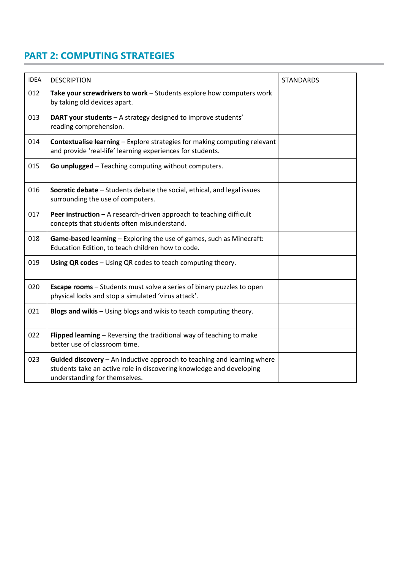### **PART 2: COMPUTING STRATEGIES**

| <b>IDEA</b> | <b>DESCRIPTION</b>                                                                                                                                                               | <b>STANDARDS</b> |
|-------------|----------------------------------------------------------------------------------------------------------------------------------------------------------------------------------|------------------|
| 012         | Take your screwdrivers to work - Students explore how computers work<br>by taking old devices apart.                                                                             |                  |
| 013         | DART your students - A strategy designed to improve students'<br>reading comprehension.                                                                                          |                  |
| 014         | <b>Contextualise learning - Explore strategies for making computing relevant</b><br>and provide 'real-life' learning experiences for students.                                   |                  |
| 015         | Go unplugged - Teaching computing without computers.                                                                                                                             |                  |
| 016         | Socratic debate - Students debate the social, ethical, and legal issues<br>surrounding the use of computers.                                                                     |                  |
| 017         | Peer instruction - A research-driven approach to teaching difficult<br>concepts that students often misunderstand.                                                               |                  |
| 018         | Game-based learning - Exploring the use of games, such as Minecraft:<br>Education Edition, to teach children how to code.                                                        |                  |
| 019         | Using QR codes - Using QR codes to teach computing theory.                                                                                                                       |                  |
| 020         | <b>Escape rooms</b> - Students must solve a series of binary puzzles to open<br>physical locks and stop a simulated 'virus attack'.                                              |                  |
| 021         | Blogs and wikis - Using blogs and wikis to teach computing theory.                                                                                                               |                  |
| 022         | Flipped learning - Reversing the traditional way of teaching to make<br>better use of classroom time.                                                                            |                  |
| 023         | Guided discovery - An inductive approach to teaching and learning where<br>students take an active role in discovering knowledge and developing<br>understanding for themselves. |                  |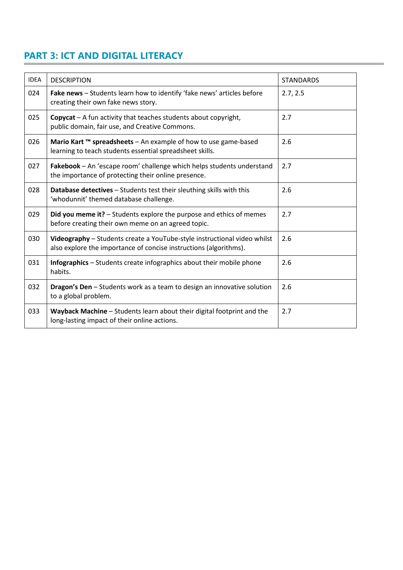## **PART 3: ICT AND DIGITAL LITERACY**

| <b>IDEA</b> | <b>DESCRIPTION</b>                                                                                                                            | <b>STANDARDS</b> |
|-------------|-----------------------------------------------------------------------------------------------------------------------------------------------|------------------|
| 024         | Fake news - Students learn how to identify 'fake news' articles before<br>creating their own fake news story.                                 | 2.7, 2.5         |
| 025         | <b>Copycat</b> $-$ A fun activity that teaches students about copyright,<br>public domain, fair use, and Creative Commons.                    | 2.7              |
| 026         | Mario Kart ™ spreadsheets - An example of how to use game-based<br>learning to teach students essential spreadsheet skills.                   | 2.6              |
| 027         | Fakebook - An 'escape room' challenge which helps students understand<br>the importance of protecting their online presence.                  | 2.7              |
| 028         | Database detectives - Students test their sleuthing skills with this<br>'whodunnit' themed database challenge.                                | 2.6              |
| 029         | Did you meme it? - Students explore the purpose and ethics of memes<br>before creating their own meme on an agreed topic.                     | 2.7              |
| 030         | Videography - Students create a YouTube-style instructional video whilst<br>also explore the importance of concise instructions (algorithms). | 2.6              |
| 031         | <b>Infographics</b> – Students create infographics about their mobile phone<br>habits.                                                        | 2.6              |
| 032         | Dragon's Den - Students work as a team to design an innovative solution<br>to a global problem.                                               | 2.6              |
| 033         | Wayback Machine - Students learn about their digital footprint and the<br>long-lasting impact of their online actions.                        | 2.7              |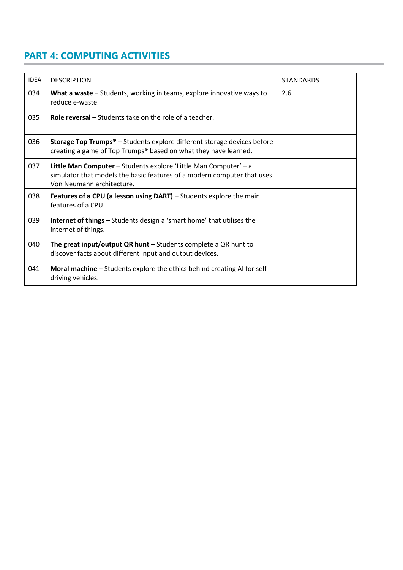## **PART 4: COMPUTING ACTIVITIES**

| <b>IDEA</b> | <b>DESCRIPTION</b>                                                                                                                                                              | <b>STANDARDS</b> |
|-------------|---------------------------------------------------------------------------------------------------------------------------------------------------------------------------------|------------------|
| 034         | What a waste – Students, working in teams, explore innovative ways to<br>reduce e-waste.                                                                                        | 2.6              |
| 035         | <b>Role reversal</b> – Students take on the role of a teacher.                                                                                                                  |                  |
| 036         | <b>Storage Top Trumps<sup>®</sup></b> - Students explore different storage devices before<br>creating a game of Top Trumps® based on what they have learned.                    |                  |
| 037         | <b>Little Man Computer</b> – Students explore 'Little Man Computer' – a<br>simulator that models the basic features of a modern computer that uses<br>Von Neumann architecture. |                  |
| 038         | <b>Features of a CPU (a lesson using DART)</b> – Students explore the main<br>features of a CPU.                                                                                |                  |
| 039         | <b>Internet of things</b> – Students design a 'smart home' that utilises the<br>internet of things.                                                                             |                  |
| 040         | The great input/output QR hunt $-$ Students complete a QR hunt to<br>discover facts about different input and output devices.                                                   |                  |
| 041         | Moral machine - Students explore the ethics behind creating AI for self-<br>driving vehicles.                                                                                   |                  |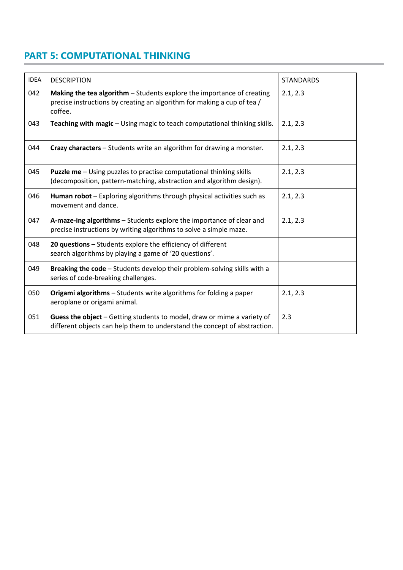#### **PART 5: COMPUTATIONAL THINKING**

| <b>IDEA</b> | <b>DESCRIPTION</b>                                                                                                                                           | <b>STANDARDS</b> |
|-------------|--------------------------------------------------------------------------------------------------------------------------------------------------------------|------------------|
| 042         | Making the tea algorithm - Students explore the importance of creating<br>precise instructions by creating an algorithm for making a cup of tea /<br>coffee. | 2.1, 2.3         |
| 043         | Teaching with magic - Using magic to teach computational thinking skills.                                                                                    | 2.1, 2.3         |
| 044         | Crazy characters - Students write an algorithm for drawing a monster.                                                                                        | 2.1, 2.3         |
| 045         | <b>Puzzle me</b> - Using puzzles to practise computational thinking skills<br>(decomposition, pattern-matching, abstraction and algorithm design).           | 2.1, 2.3         |
| 046         | Human robot - Exploring algorithms through physical activities such as<br>movement and dance.                                                                | 2.1, 2.3         |
| 047         | A-maze-ing algorithms - Students explore the importance of clear and<br>precise instructions by writing algorithms to solve a simple maze.                   | 2.1, 2.3         |
| 048         | 20 questions - Students explore the efficiency of different<br>search algorithms by playing a game of '20 questions'.                                        |                  |
| 049         | Breaking the code - Students develop their problem-solving skills with a<br>series of code-breaking challenges.                                              |                  |
| 050         | Origami algorithms - Students write algorithms for folding a paper<br>aeroplane or origami animal.                                                           | 2.1, 2.3         |
| 051         | Guess the object - Getting students to model, draw or mime a variety of<br>different objects can help them to understand the concept of abstraction.         | 2.3              |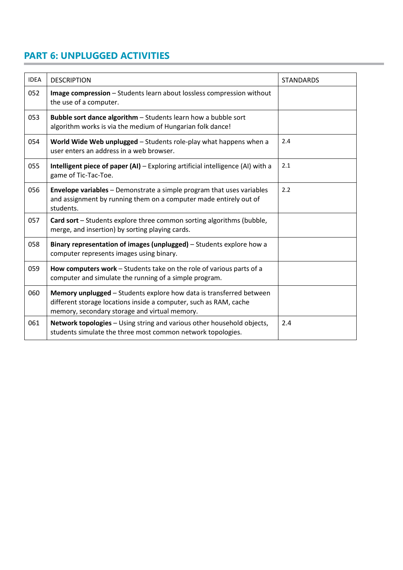## **PART 6: UNPLUGGED ACTIVITIES**

| <b>IDEA</b> | <b>DESCRIPTION</b>                                                                                                                                                                        | <b>STANDARDS</b> |
|-------------|-------------------------------------------------------------------------------------------------------------------------------------------------------------------------------------------|------------------|
| 052         | Image compression - Students learn about lossless compression without<br>the use of a computer.                                                                                           |                  |
| 053         | Bubble sort dance algorithm - Students learn how a bubble sort<br>algorithm works is via the medium of Hungarian folk dance!                                                              |                  |
| 054         | World Wide Web unplugged - Students role-play what happens when a<br>user enters an address in a web browser.                                                                             | 2.4              |
| 055         | Intelligent piece of paper (AI) - Exploring artificial intelligence (AI) with a<br>game of Tic-Tac-Toe.                                                                                   | 2.1              |
| 056         | Envelope variables - Demonstrate a simple program that uses variables<br>and assignment by running them on a computer made entirely out of<br>students.                                   | 2.2              |
| 057         | Card sort - Students explore three common sorting algorithms (bubble,<br>merge, and insertion) by sorting playing cards.                                                                  |                  |
| 058         | Binary representation of images (unplugged) – Students explore how a<br>computer represents images using binary.                                                                          |                  |
| 059         | How computers work - Students take on the role of various parts of a<br>computer and simulate the running of a simple program.                                                            |                  |
| 060         | Memory unplugged - Students explore how data is transferred between<br>different storage locations inside a computer, such as RAM, cache<br>memory, secondary storage and virtual memory. |                  |
| 061         | Network topologies - Using string and various other household objects,<br>students simulate the three most common network topologies.                                                     | 2.4              |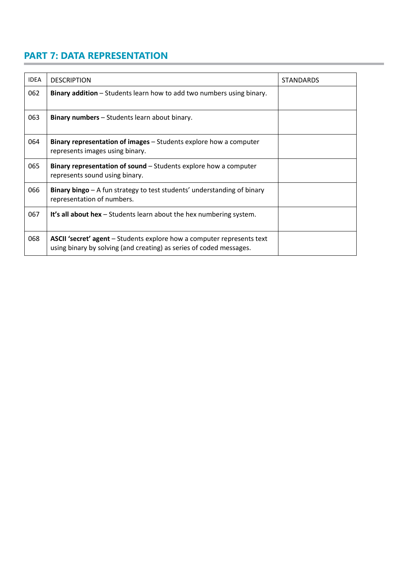## **PART 7: DATA REPRESENTATION**

| <b>IDEA</b> | <b>DESCRIPTION</b>                                                                                                                            | <b>STANDARDS</b> |
|-------------|-----------------------------------------------------------------------------------------------------------------------------------------------|------------------|
| 062         | Binary addition - Students learn how to add two numbers using binary.                                                                         |                  |
| 063         | <b>Binary numbers</b> – Students learn about binary.                                                                                          |                  |
| 064         | <b>Binary representation of images</b> – Students explore how a computer<br>represents images using binary.                                   |                  |
| 065         | Binary representation of sound – Students explore how a computer<br>represents sound using binary.                                            |                  |
| 066         | Binary bingo - A fun strategy to test students' understanding of binary<br>representation of numbers.                                         |                  |
| 067         | It's all about hex $-$ Students learn about the hex numbering system.                                                                         |                  |
| 068         | ASCII 'secret' agent - Students explore how a computer represents text<br>using binary by solving (and creating) as series of coded messages. |                  |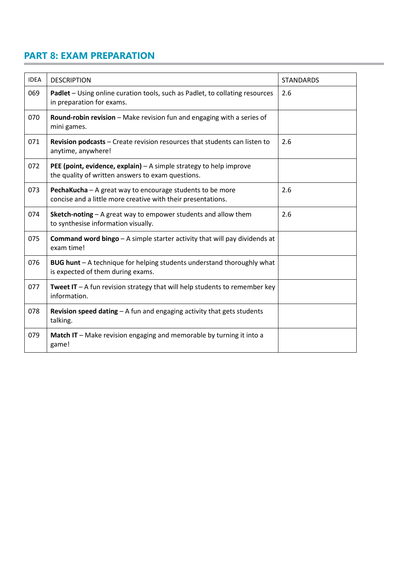### **PART 8: EXAM PREPARATION**

| <b>IDEA</b> | <b>DESCRIPTION</b>                                                                                                        | <b>STANDARDS</b> |
|-------------|---------------------------------------------------------------------------------------------------------------------------|------------------|
| 069         | Padlet - Using online curation tools, such as Padlet, to collating resources<br>in preparation for exams.                 | 2.6              |
| 070         | Round-robin revision - Make revision fun and engaging with a series of<br>mini games.                                     |                  |
| 071         | Revision podcasts - Create revision resources that students can listen to<br>anytime, anywhere!                           | 2.6              |
| 072         | PEE (point, evidence, explain) - A simple strategy to help improve<br>the quality of written answers to exam questions.   |                  |
| 073         | PechaKucha - A great way to encourage students to be more<br>concise and a little more creative with their presentations. | 2.6              |
| 074         | Sketch-noting - A great way to empower students and allow them<br>to synthesise information visually.                     | 2.6              |
| 075         | <b>Command word bingo</b> $-$ A simple starter activity that will pay dividends at<br>exam time!                          |                  |
| 076         | BUG hunt - A technique for helping students understand thoroughly what<br>is expected of them during exams.               |                  |
| 077         | <b>Tweet IT</b> $-A$ fun revision strategy that will help students to remember key<br>information.                        |                  |
| 078         | <b>Revision speed dating - A fun and engaging activity that gets students</b><br>talking.                                 |                  |
| 079         | Match IT – Make revision engaging and memorable by turning it into a<br>game!                                             |                  |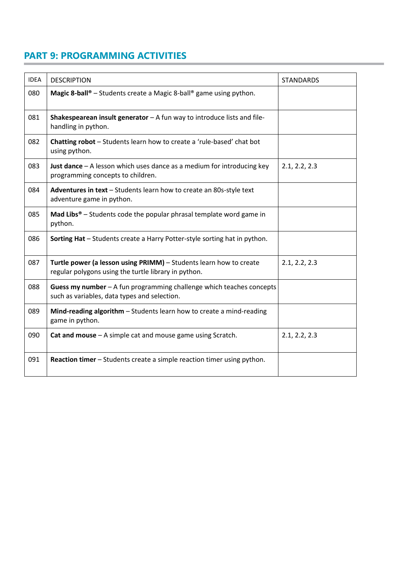#### **PART 9: PROGRAMMING ACTIVITIES**

| <b>IDEA</b> | <b>DESCRIPTION</b>                                                                                                         | <b>STANDARDS</b> |
|-------------|----------------------------------------------------------------------------------------------------------------------------|------------------|
| 080         | <b>Magic 8-ball</b> <sup>®</sup> - Students create a Magic 8-ball <sup>®</sup> game using python.                          |                  |
| 081         | Shakespearean insult generator $-$ A fun way to introduce lists and file-<br>handling in python.                           |                  |
| 082         | Chatting robot - Students learn how to create a 'rule-based' chat bot<br>using python.                                     |                  |
| 083         | Just dance $-$ A lesson which uses dance as a medium for introducing key<br>programming concepts to children.              | 2.1, 2.2, 2.3    |
| 084         | Adventures in text - Students learn how to create an 80s-style text<br>adventure game in python.                           |                  |
| 085         | <b>Mad Libs<sup>®</sup></b> – Students code the popular phrasal template word game in<br>python.                           |                  |
| 086         | Sorting Hat - Students create a Harry Potter-style sorting hat in python.                                                  |                  |
| 087         | Turtle power (a lesson using PRIMM) - Students learn how to create<br>regular polygons using the turtle library in python. | 2.1, 2.2, 2.3    |
| 088         | Guess my number - A fun programming challenge which teaches concepts<br>such as variables, data types and selection.       |                  |
| 089         | Mind-reading algorithm - Students learn how to create a mind-reading<br>game in python.                                    |                  |
| 090         | Cat and mouse - A simple cat and mouse game using Scratch.                                                                 | 2.1, 2.2, 2.3    |
| 091         | <b>Reaction timer</b> – Students create a simple reaction timer using python.                                              |                  |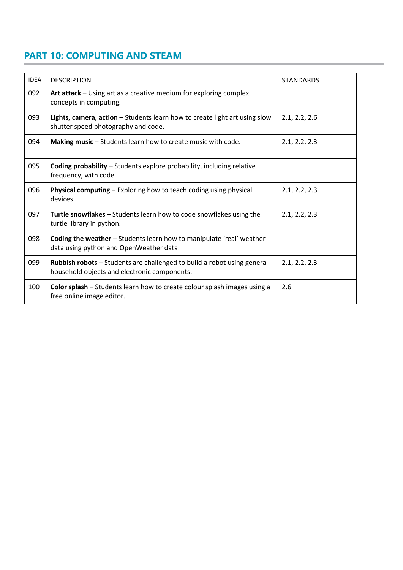#### **PART 10: COMPUTING AND STEAM**

| <b>IDEA</b> | <b>DESCRIPTION</b>                                                                                                      | <b>STANDARDS</b> |
|-------------|-------------------------------------------------------------------------------------------------------------------------|------------------|
| 092         | Art attack - Using art as a creative medium for exploring complex<br>concepts in computing.                             |                  |
| 093         | Lights, camera, action - Students learn how to create light art using slow<br>shutter speed photography and code.       | 2.1, 2.2, 2.6    |
| 094         | Making music - Students learn how to create music with code.                                                            | 2.1, 2.2, 2.3    |
| 095         | <b>Coding probability</b> - Students explore probability, including relative<br>frequency, with code.                   |                  |
| 096         | <b>Physical computing – Exploring how to teach coding using physical</b><br>devices.                                    | 2.1, 2.2, 2.3    |
| 097         | Turtle snowflakes - Students learn how to code snowflakes using the<br>turtle library in python.                        | 2.1, 2.2, 2.3    |
| 098         | Coding the weather - Students learn how to manipulate 'real' weather<br>data using python and OpenWeather data.         |                  |
| 099         | Rubbish robots - Students are challenged to build a robot using general<br>household objects and electronic components. | 2.1, 2.2, 2.3    |
| 100         | Color splash - Students learn how to create colour splash images using a<br>free online image editor.                   | 2.6              |